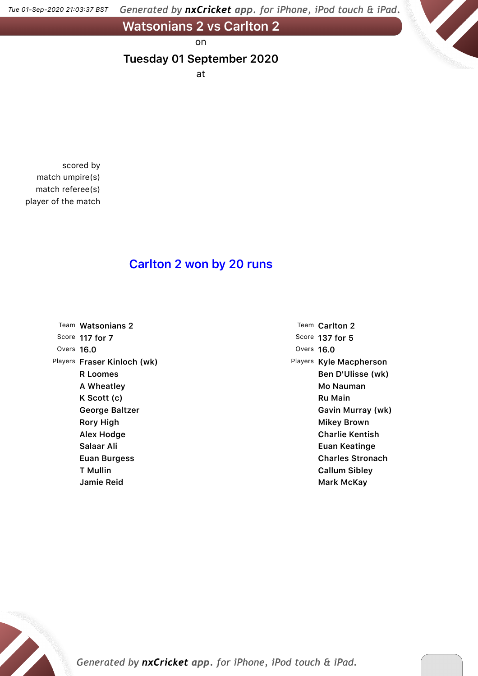Generated by nxCricket app. for iPhone, iPod touch & iPad. Tue 01-Sep-2020 21:03:37 BST

**Watsonians 2 vs Carlton 2**

on

#### **Tuesday 01 September 2020**

at

scored by match umpire(s) match referee(s) player of the match

### **Carlton 2 won by 20 runs**

|            | Team Watsonians 2           |
|------------|-----------------------------|
|            | Score 117 for 7             |
| Overs 16.0 |                             |
|            | Players Fraser Kinloch (wk) |
|            | R Loomes                    |
|            | A Wheatley                  |
|            | K Scott (c)                 |
|            | George Baltzer              |
|            | Rory High                   |
|            | Alex Hodge                  |
|            | Salaar Ali                  |
|            | Euan Burgess                |
|            | T Mullin                    |
|            | Jamie Reid                  |

Team **Carlton 2** Score **137 for 5** Overs **16.0** Players **Kyle Macpherson Ben D'Ulisse (wk) Mo Nauman Ru Main Gavin Murray (wk) Mikey Brown Charlie Kentish Euan Keatinge Charles Stronach Callum Sibley Mark McKay**

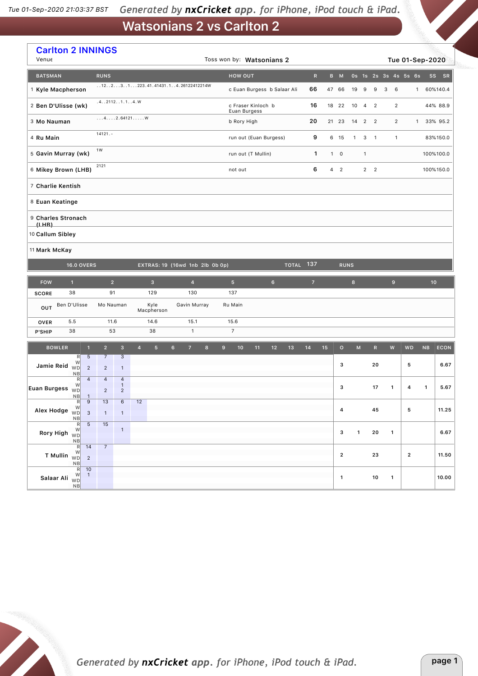| <b>Carlton 2 INNINGS</b><br>Venue                              |                                                          |                                  |                                |                |                    |                                       |                | Toss won by: Watsonians 2 |                                    |    |             |           |                |    |                |              |                     |                          |                         |                | Tue 01-Sep-2020      |                 |             |
|----------------------------------------------------------------|----------------------------------------------------------|----------------------------------|--------------------------------|----------------|--------------------|---------------------------------------|----------------|---------------------------|------------------------------------|----|-------------|-----------|----------------|----|----------------|--------------|---------------------|--------------------------|-------------------------|----------------|----------------------|-----------------|-------------|
| <b>BATSMAN</b>                                                 |                                                          | <b>RUNS</b>                      |                                |                |                    |                                       |                |                           | HOW OUT                            |    |             |           | $\mathsf{R}$   |    | B M            |              |                     |                          |                         |                | Os 1s 2s 3s 4s 5s 6s | <b>SS</b>       | <b>SR</b>   |
| 1 Kyle Macpherson                                              |                                                          |                                  |                                |                |                    | $1.12231223.41.41431.14.26122412214W$ |                |                           | c Euan Burgess b Salaar Ali        |    |             |           | 66             |    | 47 66          | 19           | 9                   | 9                        | 3                       | 6              | 1                    |                 | 60%140.4    |
| 2 Ben D'Ulisse (wk)                                            |                                                          |                                  | .4.02112.01.1.04.0             |                |                    |                                       |                |                           | c Fraser Kinloch b<br>Euan Burgess |    |             |           | 16             |    | 18 22          | 10           | 4                   | $\overline{2}$           |                         | $\overline{2}$ |                      |                 | 44% 88.9    |
| 3 Mo Nauman                                                    |                                                          |                                  | 42.64121W                      |                |                    |                                       |                |                           | b Rory High                        |    |             |           | 20             |    | 21 23          | 14           | $\overline{2}$      | $\overline{\phantom{0}}$ |                         | $\overline{2}$ | $\mathbf{1}$         |                 | 33% 95.2    |
| 4 Ru Main                                                      |                                                          | $14121. -$                       |                                |                |                    |                                       |                |                           | run out (Euan Burgess)             |    |             |           | 9              |    | 6 15           | $\mathbf{1}$ | 3                   | $\overline{1}$           |                         | $\mathbf{1}$   |                      |                 | 83%150.0    |
| 5 Gavin Murray (wk)                                            |                                                          | 1W                               |                                |                |                    |                                       |                |                           | run out (T Mullin)                 |    |             |           | $\mathbf{1}$   |    | $1 \quad 0$    |              | $\mathbf{1}$        |                          |                         |                |                      |                 | 100%100.0   |
| 6 Mikey Brown (LHB)                                            |                                                          | 2121                             |                                |                |                    |                                       |                |                           | not out                            |    |             |           | 6              |    | 4 <sub>2</sub> |              |                     | $2 \quad 2$              |                         |                |                      |                 | 100%150.0   |
| 7 Charlie Kentish                                              |                                                          |                                  |                                |                |                    |                                       |                |                           |                                    |    |             |           |                |    |                |              |                     |                          |                         |                |                      |                 |             |
| 8 Euan Keatinge                                                |                                                          |                                  |                                |                |                    |                                       |                |                           |                                    |    |             |           |                |    |                |              |                     |                          |                         |                |                      |                 |             |
| 9 Charles Stronach<br>(LHB)                                    |                                                          |                                  |                                |                |                    |                                       |                |                           |                                    |    |             |           |                |    |                |              |                     |                          |                         |                |                      |                 |             |
| 10 Callum Sibley                                               |                                                          |                                  |                                |                |                    |                                       |                |                           |                                    |    |             |           |                |    |                |              |                     |                          |                         |                |                      |                 |             |
| 11 Mark McKay                                                  |                                                          |                                  |                                |                |                    |                                       |                |                           |                                    |    |             |           |                |    |                |              |                     |                          |                         |                |                      |                 |             |
|                                                                | <b>16.0 OVERS</b>                                        |                                  |                                |                |                    | EXTRAS: 19 (16wd 1nb 2lb 0b 0p)       |                |                           |                                    |    |             | TOTAL 137 |                |    | <b>RUNS</b>    |              |                     |                          |                         |                |                      |                 |             |
| <b>FOW</b>                                                     | $\mathbf{1}$                                             |                                  | $\overline{2}$                 |                | $\mathbf{3}$       |                                       | $\overline{4}$ |                           | 5 <sup>5</sup>                     |    | $\,$ 6 $\,$ |           | $\overline{7}$ |    |                | $\bf{8}$     |                     |                          |                         | $\mathbf 9$    |                      | 10 <sub>1</sub> |             |
| <b>SCORE</b>                                                   | 38                                                       |                                  | 91                             |                | 129                | 130                                   |                |                           | 137                                |    |             |           |                |    |                |              |                     |                          |                         |                |                      |                 |             |
| OUT                                                            | Ben D'Ulisse                                             |                                  | Mo Nauman                      |                | Kyle<br>Macpherson | Gavin Murray                          |                |                           | Ru Main                            |    |             |           |                |    |                |              |                     |                          |                         |                |                      |                 |             |
| <b>OVER</b>                                                    | 5.5                                                      | 11.6                             |                                |                | 14.6               | 15.1                                  |                |                           | 15.6                               |    |             |           |                |    |                |              |                     |                          |                         |                |                      |                 |             |
| P'SHIP                                                         | 38                                                       |                                  | 53                             |                | 38                 |                                       | $\mathbf{1}$   |                           | $\overline{7}$                     |    |             |           |                |    |                |              |                     |                          |                         |                |                      |                 |             |
| <b>BOWLER</b>                                                  | $\overline{1}$                                           | $\overline{2}$                   | $\mathsf 3$                    | $\overline{4}$ | 5 <sup>5</sup>     | $6\phantom{.}$<br>$\overline{z}$      | 8              | 9                         | 10                                 | 11 | 12          | 13        | 14             | 15 | $\circ$        |              | $\mathsf{M}\xspace$ | $\mathsf{R}$             |                         | ${\bf W}$      | <b>WD</b>            | NB              | <b>ECON</b> |
| Jamie Reid                                                     | R<br>$5\phantom{.0}$<br>W<br><b>WD</b><br>$\overline{2}$ | $\overline{7}$<br>$\overline{2}$ | $\mathbf{3}$<br>$\mathbf{1}$   |                |                    |                                       |                |                           |                                    |    |             |           |                |    | з              |              |                     | 20                       |                         |                | 5                    |                 | 6.67        |
|                                                                | NB<br>$\overline{4}$<br>R<br>W                           | $\overline{4}$                   | $\overline{4}$<br>$\mathbf{1}$ |                |                    |                                       |                |                           |                                    |    |             |           |                |    | з              |              |                     | 17                       |                         | 1              | 4                    | $\mathbf{1}$    | 5.67        |
| <b>Euan Burgess</b>                                            | <b>WD</b><br>NB<br>$\mathbf{1}$                          | $\overline{2}$                   | $\overline{2}$                 |                |                    |                                       |                |                           |                                    |    |             |           |                |    |                |              |                     |                          |                         |                |                      |                 |             |
| Alex Hodge $\begin{bmatrix} W \\ W \end{bmatrix}$              | $\overline{9}$<br>R<br>$\mathbf{3}$                      | 13<br>$\mathbf{1}$               | 6<br>$\mathbf{1}$              | 12             |                    |                                       |                |                           |                                    |    |             |           |                |    | 4              |              |                     | 45                       |                         |                | 5                    |                 | 11.25       |
| R<br>Rory High WD                                              | NB<br>$-5$                                               | 15                               | $\mathbf{1}$                   |                |                    |                                       |                |                           |                                    |    |             |           |                |    |                |              |                     |                          |                         |                |                      |                 |             |
|                                                                | NB<br>R<br>14                                            | 7 <sup>7</sup>                   |                                |                |                    |                                       |                |                           |                                    |    |             |           |                |    | 3              |              | $\mathbf{1}$        | 20                       | $\overline{\mathbf{1}}$ |                |                      |                 | 6.67        |
| <b>T Mullin</b> $\begin{bmatrix} W \\ W D \\ NB \end{bmatrix}$ | $\overline{c}$                                           |                                  |                                |                |                    |                                       |                |                           |                                    |    |             |           |                |    | $\mathbf{2}$   |              |                     | 23                       |                         |                | $\mathbf{2}$         |                 | 11.50       |
| Salaar Ali WD                                                  | $R$ 10<br>$\overline{1}$<br>NB                           |                                  |                                |                |                    |                                       |                |                           |                                    |    |             |           |                |    | $\mathbf{1}$   |              |                     | 10                       |                         | $\mathbf{1}$   |                      |                 | 10.00       |

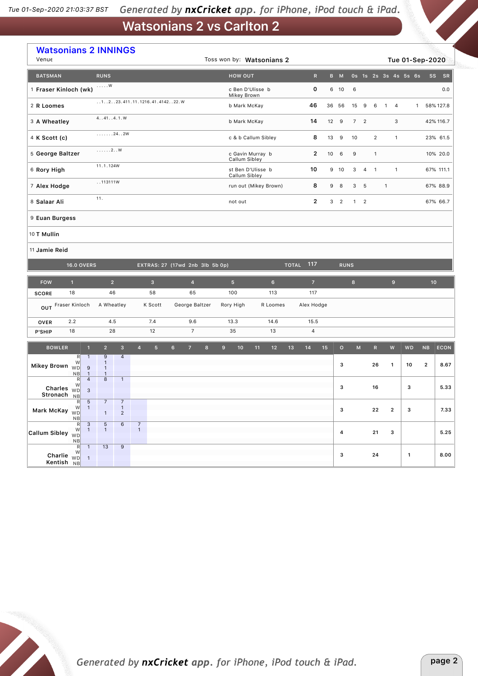| <b>Watsonians 2 INNINGS</b><br>Venue              |                                                       |                                                |                                    |                |                              |                                                           |                                 |   |                                    |                                 |                       | Toss won by: Watsonians 2 |              |                  |                |              |                  |                |              |                | Tue 01-Sep-2020      |              |                 |             |
|---------------------------------------------------|-------------------------------------------------------|------------------------------------------------|------------------------------------|----------------|------------------------------|-----------------------------------------------------------|---------------------------------|---|------------------------------------|---------------------------------|-----------------------|---------------------------|--------------|------------------|----------------|--------------|------------------|----------------|--------------|----------------|----------------------|--------------|-----------------|-------------|
| <b>BATSMAN</b>                                    |                                                       | <b>RUNS</b>                                    |                                    |                |                              |                                                           |                                 |   |                                    | <b>HOW OUT</b>                  |                       |                           |              | $\mathsf{R}$     |                | B M          |                  |                |              |                | 0s 1s 2s 3s 4s 5s 6s |              | <b>SS</b>       | SR          |
| 1 Fraser Kinloch (wk)                             |                                                       | . $W$                                          |                                    |                |                              |                                                           |                                 |   |                                    | c Ben D'Ulisse b<br>Mikey Brown |                       |                           |              | 0                |                | 6 10         | 6                |                |              |                |                      |              |                 | 0.0         |
| 2 R Loomes                                        |                                                       |                                                |                                    |                | 1223.411.11.1216.41.414222.W |                                                           |                                 |   | 46<br>b Mark McKay                 |                                 |                       |                           |              |                  |                | 36 56        | 15               | 9              | 6            | $\overline{1}$ | $\overline{4}$       | $\mathbf{1}$ |                 | 58% 127.8   |
| 3 A Wheatley                                      |                                                       | 4. .41. .4.1. W                                |                                    |                |                              |                                                           |                                 |   |                                    | b Mark McKay                    |                       |                           |              | 14               |                | 12 9         |                  | 7 <sup>2</sup> |              |                | 3                    |              |                 | 42% 116.7   |
| 4 K Scott (c)                                     | $\ldots \ldots 24.20$                                 |                                                |                                    |                |                              | 8<br>13<br>c & b Callum Sibley                            |                                 |   |                                    |                                 |                       |                           | 9            | 10               |                | 2            |                  | $\mathbf{1}$   |              |                | 23% 61.5             |              |                 |             |
|                                                   | ,, 2W<br>5 George Baltzer                             |                                                |                                    |                |                              | $\overline{2}$<br>10<br>c Gavin Murray b<br>Callum Sibley |                                 |   |                                    |                                 |                       |                           |              | 9                |                | $\mathbf{1}$ |                  |                |              |                | 10% 20.0             |              |                 |             |
| 11.1.124W<br>6 Rory High                          |                                                       |                                                |                                    |                |                              |                                                           |                                 |   | st Ben D'Ulisse b<br>Callum Sibley |                                 |                       |                           | 10           |                  | 9 10           | 3            | 4                | $\overline{1}$ |              | $\mathbf{1}$   |                      |              | 67% 111.1       |             |
| 113111W<br>7 Alex Hodge                           |                                                       |                                                |                                    |                |                              |                                                           |                                 |   |                                    |                                 | run out (Mikey Brown) |                           | 8            | 9                | 8              | 3            | $-5$             |                | $\mathbf{1}$ |                |                      |              | 67% 88.9        |             |
| 11.<br>8 Salaar Ali                               |                                                       |                                                |                                    |                |                              |                                                           |                                 |   | not out                            |                                 |                       |                           | $\mathbf{2}$ | 3                | $\overline{2}$ |              | $1 \quad 2$      |                |              |                |                      |              | 67% 66.7        |             |
| 9 Euan Burgess                                    |                                                       |                                                |                                    |                |                              |                                                           |                                 |   |                                    |                                 |                       |                           |              |                  |                |              |                  |                |              |                |                      |              |                 |             |
| 10 T Mullin                                       |                                                       |                                                |                                    |                |                              |                                                           |                                 |   |                                    |                                 |                       |                           |              |                  |                |              |                  |                |              |                |                      |              |                 |             |
| 11 Jamie Reid                                     |                                                       |                                                |                                    |                |                              |                                                           |                                 |   |                                    |                                 |                       |                           |              |                  |                |              |                  |                |              |                |                      |              |                 |             |
|                                                   | <b>16.0 OVERS</b>                                     |                                                |                                    |                |                              |                                                           | EXTRAS: 27 (17wd 2nb 3lb 5b 0p) |   |                                    |                                 |                       |                           |              | <b>TOTAL 117</b> |                |              | <b>RUNS</b>      |                |              |                |                      |              |                 |             |
| <b>FOW</b>                                        | $\mathbf{1}$                                          | 2 <sup>1</sup>                                 |                                    |                | $\overline{\mathbf{3}}$      |                                                           | $\overline{4}$                  |   | 5 <sup>1</sup>                     |                                 |                       | 6 <sup>1</sup>            |              | $\overline{7}$   |                |              | $\boldsymbol{8}$ |                |              |                | 9 <sup>°</sup>       |              | 10 <sup>°</sup> |             |
| <b>SCORE</b>                                      | 18                                                    | 46                                             |                                    |                | 58                           |                                                           | 65                              |   | 100                                |                                 |                       | 113                       |              | 117              |                |              |                  |                |              |                |                      |              |                 |             |
| OUT                                               | Fraser Kinloch                                        | A Wheatley                                     |                                    |                | K Scott                      |                                                           | George Baltzer                  |   | Rory High                          |                                 |                       | R Loomes                  |              | Alex Hodge       |                |              |                  |                |              |                |                      |              |                 |             |
| <b>OVER</b>                                       | 2.2                                                   | 4.5                                            |                                    |                | 7.4                          |                                                           | 9.6                             |   | 14.6<br>13.3                       |                                 |                       |                           | 15.5         |                  |                |              |                  |                |              |                |                      |              |                 |             |
| P'SHIP                                            | 18                                                    | 28                                             |                                    |                | 12                           |                                                           | $\overline{7}$                  |   | 35                                 |                                 |                       | 13                        |              | 4                |                |              |                  |                |              |                |                      |              |                 |             |
| <b>BOWLER</b>                                     | $\mathbf{1}$                                          | $\overline{2}$                                 | $\overline{\mathbf{3}}$            | $\overline{4}$ | $5\phantom{.}$               | $6\phantom{1}$                                            | $\overline{7}$                  | 8 | 9                                  | 10 <sub>1</sub>                 | 11                    | 12                        | 13           | 14               | 15             | $\mathbf{o}$ |                  | M              | ${\sf R}$    |                | ${\sf W}$            | <b>WD</b>    | NB              | <b>ECON</b> |
| Mikey Brown WD                                    | R<br>$\mathbf{1}$<br>W<br>9                           | $\overline{9}$<br>$\mathbf{1}$<br>$\mathbf{1}$ | $\overline{4}$                     |                |                              |                                                           |                                 |   |                                    |                                 |                       |                           |              |                  |                | з            |                  |                | 26           |                | $\mathbf{1}$         | 10           | $\mathbf{2}$    | 8.67        |
|                                                   | NB<br>$\mathbf{1}$<br>$\overline{4}$<br>R<br>W        | $\mathbf{1}$<br>$\overline{8}$                 | $\overline{1}$                     |                |                              |                                                           |                                 |   |                                    |                                 |                       |                           |              |                  |                |              |                  |                |              |                |                      |              |                 |             |
| Charles $\overset{\cdots}{\text{WD}}$<br>Stronach | $\mathbf{3}$<br><b>NB</b>                             |                                                |                                    |                |                              |                                                           |                                 |   |                                    |                                 |                       |                           |              |                  |                | з            |                  |                | 16           |                |                      | з            |                 | 5.33        |
| Mark McKay wo                                     | R<br>5<br>W<br>$\mathbf{1}$<br>NB                     | $7^{-}$<br>$\mathbf{1}$                        | $\overline{7}$<br>-1<br>$\sqrt{2}$ |                |                              |                                                           |                                 |   |                                    |                                 |                       |                           |              |                  |                | З            |                  |                | ${\bf 22}$   |                | $\mathbf 2$          | 3            |                 | 7.33        |
| Callum Sibley $\sqrt{v}$                          | $\mathbf{3}$<br>R<br>W<br>$\mathbf{1}$<br>NB          | $\sqrt{5}$<br>$\mathbf{1}$                     | $6\,$                              | $\frac{7}{1}$  |                              |                                                           |                                 |   |                                    |                                 |                       |                           |              |                  |                | 4            |                  |                | 21           |                | 3                    |              |                 | 5.25        |
| Charlie <sub>WD</sub><br>Kentish NB               | $\overline{R}$<br>W<br>$\mathbf{1}$<br>$\overline{1}$ | 13                                             | 9                                  |                |                              |                                                           |                                 |   |                                    |                                 |                       |                           |              |                  |                | з            |                  |                | 24           |                |                      | $\mathbf{1}$ |                 | 8.00        |

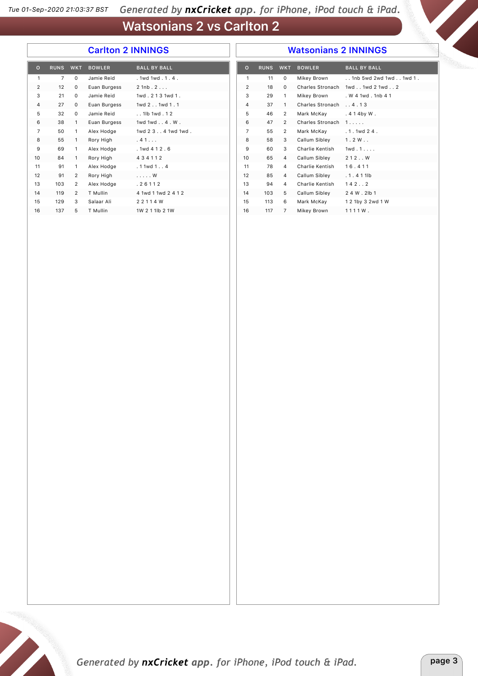#### **Carlton 2 INNINGS**

#### **Watsonians 2 INNINGS**

| $\mathbf{o}$   | <b>RUNS</b>    | <b>WKT</b>     | <b>BOWLER</b> | <b>BALL BY BALL</b>  |  |
|----------------|----------------|----------------|---------------|----------------------|--|
| 1              | $\overline{7}$ | $\Omega$       | Jamie Reid    | .1wd1wd.1.4.         |  |
| $\overline{2}$ | 12             | 0              | Euan Burgess  | $2$ 1nb $.2$ $.$ $.$ |  |
| 3              | 21             | 0              | Jamie Reid    | 1wd. 213 1wd 1.      |  |
| 4              | 27             | 0              | Euan Burgess  | 1wd 2 . 1wd 1 . 1    |  |
| 5              | 32             | 0              | Jamie Reid    | . . 1lb 1wd . 1 2    |  |
| 6              | 38             | 1              | Euan Burgess  | 1wd 1wd 4 . W.       |  |
| $\overline{7}$ | 50             | 1              | Alex Hodge    | 1wd 2 3 4 1wd 1wd .  |  |
| 8              | 55             | $\mathbf{1}$   | Rory High     | . 41.                |  |
| 9              | 69             | 1              | Alex Hodge    | .1wd 412.6           |  |
| 10             | 84             | $\mathbf{1}$   | Rory High     | 434112               |  |
| 11             | 91             | 1              | Alex Hodge    | .11wd1. .4           |  |
| 12             | 91             | 2              | Rory High     | . W                  |  |
| 13             | 103            | 2              | Alex Hodge    | .26112               |  |
| 14             | 119            | $\overline{2}$ | T Mullin      | 4 1wd 1 1wd 2 4 1 2  |  |
| 15             | 129            | 3              | Salaar Ali    | 2 2 1 1 4 W          |  |
| 16             | 137            | 5              | T Mullin      | 1W 2 1 1lb 2 1W      |  |

| $\circ$        | <b>RUNS</b> | <b>WKT</b>     | <b>BOWLER</b>    | <b>BALL BY BALL</b>      |
|----------------|-------------|----------------|------------------|--------------------------|
| 1              | 11          | $\Omega$       | Mikey Brown      | . 1nb 5wd 2wd 1wd 1wd 1. |
| 2              | 18          | 0              | Charles Stronach | 1wd., 1wd 2 1wd., 2      |
| 3              | 29          | 1              | Mikey Brown      | . W 4 1wd . 1nb 4 1      |
| 4              | 37          | 1              | Charles Stronach | .4.13                    |
| 5              | 46          | 2              | Mark McKay       | .414by W.                |
| 6              | 47          | $\overline{2}$ | Charles Stronach | 1.1.1.1                  |
| $\overline{7}$ | 55          | $\overline{2}$ | Mark McKay       | 1 1wd 2 4                |
| 8              | 58          | 3              | Callum Sibley    | 1.2W                     |
| 9              | 60          | 3              | Charlie Kentish  | 1wd.1                    |
| 10             | 65          | 4              | Callum Sibley    | 212W                     |
| 11             | 78          | 4              | Charlie Kentish  | 16.411                   |
| 12             | 85          | 4              | Callum Sibley    | $.1.411$ h               |
| 13             | 94          | 4              | Charlie Kentish  | 142.2                    |
| 14             | 103         | 5              | Callum Sibley    | 2 4 W . 2lb 1            |
| 15             | 113         | 6              | Mark McKay       | 1 2 1by 3 2wd 1 W        |
| 16             | 117         | 7              | Mikey Brown      | 1111W.                   |
|                |             |                |                  |                          |

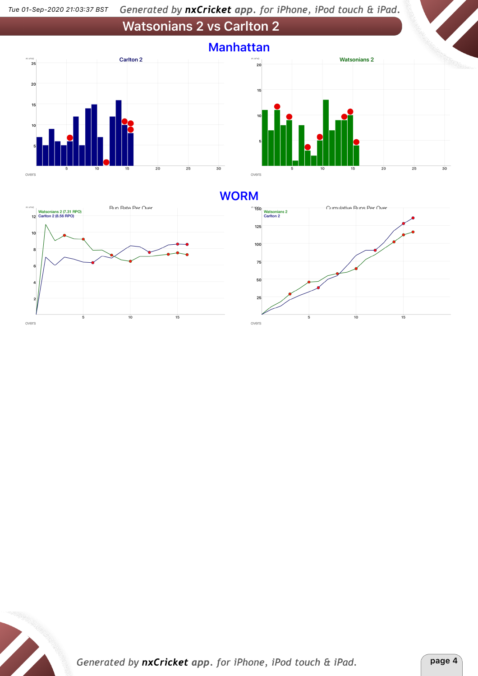



#### **WORM**